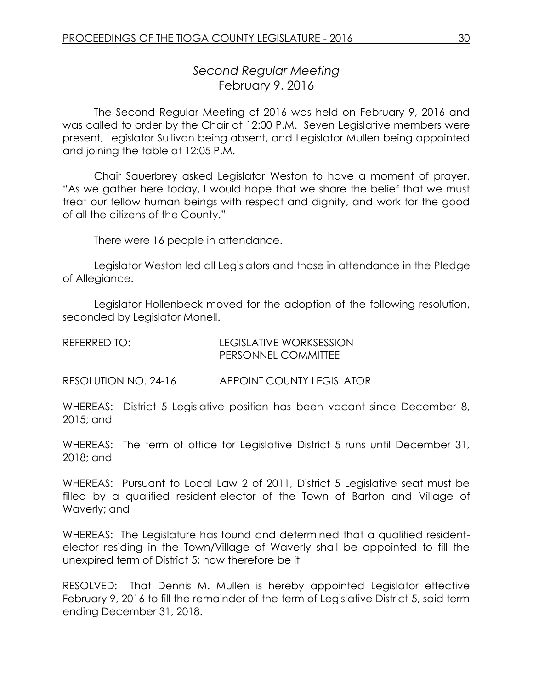# *Second Regular Meeting* February 9, 2016

The Second Regular Meeting of 2016 was held on February 9, 2016 and was called to order by the Chair at 12:00 P.M. Seven Legislative members were present, Legislator Sullivan being absent, and Legislator Mullen being appointed and joining the table at 12:05 P.M.

Chair Sauerbrey asked Legislator Weston to have a moment of prayer. "As we gather here today, I would hope that we share the belief that we must treat our fellow human beings with respect and dignity, and work for the good of all the citizens of the County."

There were 16 people in attendance.

Legislator Weston led all Legislators and those in attendance in the Pledge of Allegiance.

Legislator Hollenbeck moved for the adoption of the following resolution, seconded by Legislator Monell.

| REFERRED TO: | LEGISLATIVE WORKSESSION    |
|--------------|----------------------------|
|              | <b>PERSONNEL COMMITTEE</b> |

RESOLUTION NO. 24-16 APPOINT COUNTY LEGISLATOR

WHEREAS: District 5 Legislative position has been vacant since December 8, 2015; and

WHEREAS: The term of office for Legislative District 5 runs until December 31, 2018; and

WHEREAS: Pursuant to Local Law 2 of 2011, District 5 Legislative seat must be filled by a qualified resident-elector of the Town of Barton and Village of Waverly; and

WHEREAS: The Legislature has found and determined that a qualified residentelector residing in the Town/Village of Waverly shall be appointed to fill the unexpired term of District 5; now therefore be it

RESOLVED: That Dennis M. Mullen is hereby appointed Legislator effective February 9, 2016 to fill the remainder of the term of Legislative District 5, said term ending December 31, 2018.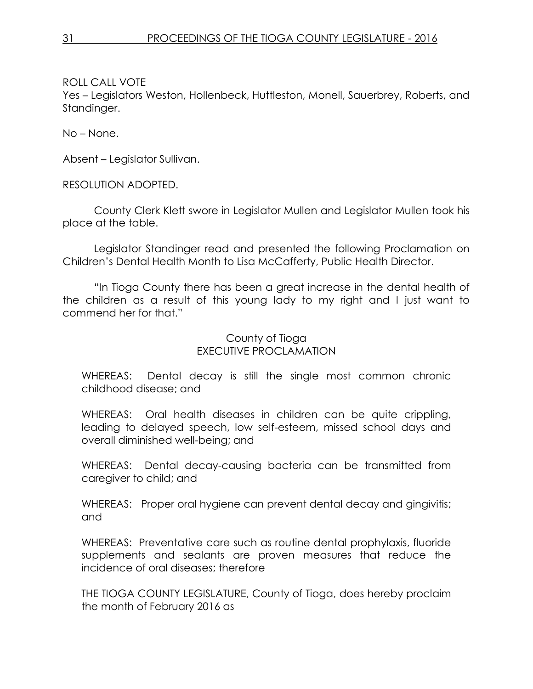Yes – Legislators Weston, Hollenbeck, Huttleston, Monell, Sauerbrey, Roberts, and Standinger.

No – None.

Absent – Legislator Sullivan.

RESOLUTION ADOPTED.

County Clerk Klett swore in Legislator Mullen and Legislator Mullen took his place at the table.

Legislator Standinger read and presented the following Proclamation on Children's Dental Health Month to Lisa McCafferty, Public Health Director.

"In Tioga County there has been a great increase in the dental health of the children as a result of this young lady to my right and I just want to commend her for that."

## County of Tioga EXECUTIVE PROCLAMATION

WHEREAS: Dental decay is still the single most common chronic childhood disease; and

WHEREAS: Oral health diseases in children can be quite crippling, leading to delayed speech, low self-esteem, missed school days and overall diminished well-being; and

WHEREAS: Dental decay-causing bacteria can be transmitted from caregiver to child; and

WHEREAS: Proper oral hygiene can prevent dental decay and gingivitis; and

WHEREAS: Preventative care such as routine dental prophylaxis, fluoride supplements and sealants are proven measures that reduce the incidence of oral diseases; therefore

THE TIOGA COUNTY LEGISLATURE, County of Tioga, does hereby proclaim the month of February 2016 as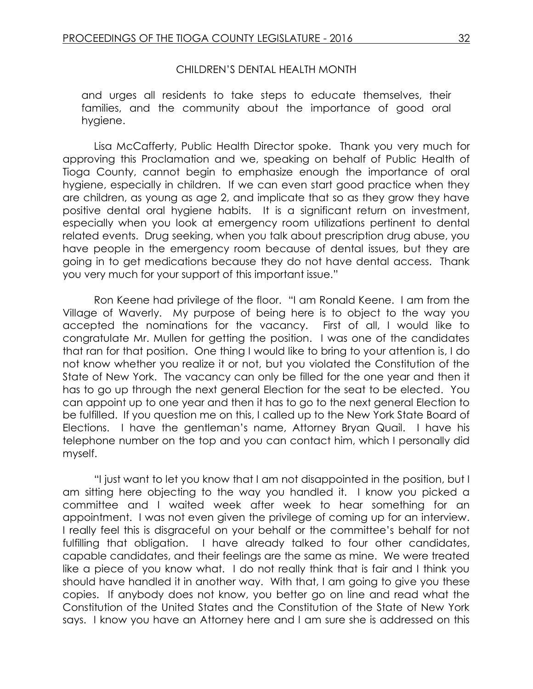#### CHILDREN'S DENTAL HEALTH MONTH

and urges all residents to take steps to educate themselves, their families, and the community about the importance of good oral hygiene.

Lisa McCafferty, Public Health Director spoke. Thank you very much for approving this Proclamation and we, speaking on behalf of Public Health of Tioga County, cannot begin to emphasize enough the importance of oral hygiene, especially in children. If we can even start good practice when they are children, as young as age 2, and implicate that so as they grow they have positive dental oral hygiene habits. It is a significant return on investment, especially when you look at emergency room utilizations pertinent to dental related events. Drug seeking, when you talk about prescription drug abuse, you have people in the emergency room because of dental issues, but they are going in to get medications because they do not have dental access. Thank you very much for your support of this important issue."

Ron Keene had privilege of the floor. "I am Ronald Keene. I am from the Village of Waverly. My purpose of being here is to object to the way you accepted the nominations for the vacancy. First of all, I would like to congratulate Mr. Mullen for getting the position. I was one of the candidates that ran for that position. One thing I would like to bring to your attention is, I do not know whether you realize it or not, but you violated the Constitution of the State of New York. The vacancy can only be filled for the one year and then it has to go up through the next general Election for the seat to be elected. You can appoint up to one year and then it has to go to the next general Election to be fulfilled. If you question me on this, I called up to the New York State Board of Elections. I have the gentleman's name, Attorney Bryan Quail. I have his telephone number on the top and you can contact him, which I personally did myself.

"I just want to let you know that I am not disappointed in the position, but I am sitting here objecting to the way you handled it. I know you picked a committee and I waited week after week to hear something for an appointment. I was not even given the privilege of coming up for an interview. I really feel this is disgraceful on your behalf or the committee's behalf for not fulfilling that obligation. I have already talked to four other candidates, capable candidates, and their feelings are the same as mine. We were treated like a piece of you know what. I do not really think that is fair and I think you should have handled it in another way. With that, I am going to give you these copies. If anybody does not know, you better go on line and read what the Constitution of the United States and the Constitution of the State of New York says. I know you have an Attorney here and I am sure she is addressed on this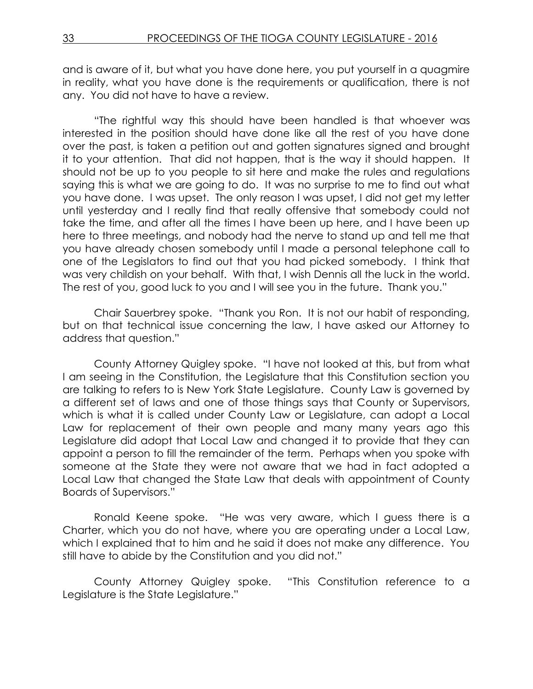and is aware of it, but what you have done here, you put yourself in a quagmire in reality, what you have done is the requirements or qualification, there is not any. You did not have to have a review.

"The rightful way this should have been handled is that whoever was interested in the position should have done like all the rest of you have done over the past, is taken a petition out and gotten signatures signed and brought it to your attention. That did not happen, that is the way it should happen. It should not be up to you people to sit here and make the rules and regulations saying this is what we are going to do. It was no surprise to me to find out what you have done. I was upset. The only reason I was upset, I did not get my letter until yesterday and I really find that really offensive that somebody could not take the time, and after all the times I have been up here, and I have been up here to three meetings, and nobody had the nerve to stand up and tell me that you have already chosen somebody until I made a personal telephone call to one of the Legislators to find out that you had picked somebody. I think that was very childish on your behalf. With that, I wish Dennis all the luck in the world. The rest of you, good luck to you and I will see you in the future. Thank you."

Chair Sauerbrey spoke. "Thank you Ron. It is not our habit of responding, but on that technical issue concerning the law, I have asked our Attorney to address that question."

County Attorney Quigley spoke. "I have not looked at this, but from what I am seeing in the Constitution, the Legislature that this Constitution section you are talking to refers to is New York State Legislature. County Law is governed by a different set of laws and one of those things says that County or Supervisors, which is what it is called under County Law or Legislature, can adopt a Local Law for replacement of their own people and many many years ago this Legislature did adopt that Local Law and changed it to provide that they can appoint a person to fill the remainder of the term. Perhaps when you spoke with someone at the State they were not aware that we had in fact adopted a Local Law that changed the State Law that deals with appointment of County Boards of Supervisors."

Ronald Keene spoke. "He was very aware, which I guess there is a Charter, which you do not have, where you are operating under a Local Law, which I explained that to him and he said it does not make any difference. You still have to abide by the Constitution and you did not."

County Attorney Quigley spoke. "This Constitution reference to a Legislature is the State Legislature."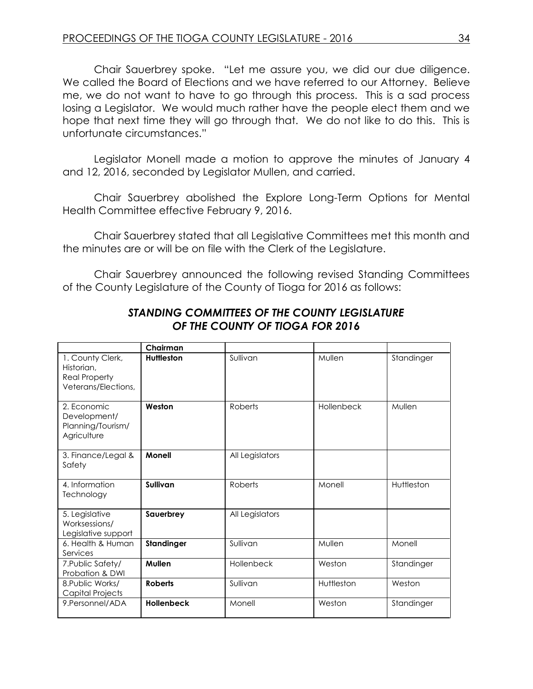Chair Sauerbrey spoke. "Let me assure you, we did our due diligence. We called the Board of Elections and we have referred to our Attorney. Believe me, we do not want to have to go through this process. This is a sad process losing a Legislator. We would much rather have the people elect them and we hope that next time they will go through that. We do not like to do this. This is unfortunate circumstances."

Legislator Monell made a motion to approve the minutes of January 4 and 12, 2016, seconded by Legislator Mullen, and carried.

Chair Sauerbrey abolished the Explore Long-Term Options for Mental Health Committee effective February 9, 2016.

Chair Sauerbrey stated that all Legislative Committees met this month and the minutes are or will be on file with the Clerk of the Legislature.

Chair Sauerbrey announced the following revised Standing Committees of the County Legislature of the County of Tioga for 2016 as follows:

|                                                                               | Chairman          |                 |            |            |
|-------------------------------------------------------------------------------|-------------------|-----------------|------------|------------|
| 1. County Clerk,<br>Historian.<br><b>Real Property</b><br>Veterans/Elections, | <b>Huttleston</b> | Sullivan        | Mullen     | Standinger |
| 2. Economic<br>Development/<br>Planning/Tourism/<br>Agriculture               | Weston            | Roberts         | Hollenbeck | Mullen     |
| 3. Finance/Legal &<br>Safety                                                  | <b>Monell</b>     | All Legislators |            |            |
| 4. Information<br>Technology                                                  | Sullivan          | Roberts         | Monell     | Huttleston |
| 5. Legislative<br>Worksessions/<br>Legislative support                        | Sauerbrey         | All Legislators |            |            |
| 6. Health & Human<br>Services                                                 | Standinger        | Sullivan        | Mullen     | Monell     |
| 7. Public Safety/<br>Probation & DWI                                          | Mullen            | Hollenbeck      | Weston     | Standinger |
| 8. Public Works/<br>Capital Projects                                          | <b>Roberts</b>    | Sullivan        | Huttleston | Weston     |
| 9. Personnel/ADA                                                              | <b>Hollenbeck</b> | Monell          | Weston     | Standinger |

## *STANDING COMMITTEES OF THE COUNTY LEGISLATURE OF THE COUNTY OF TIOGA FOR 2016*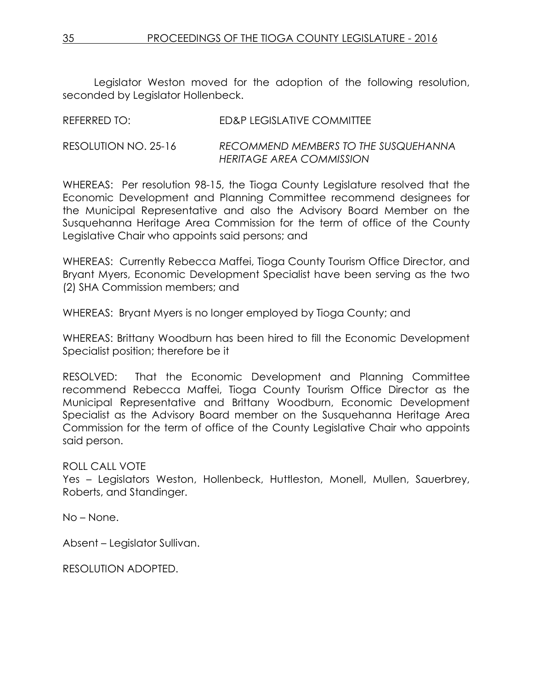Legislator Weston moved for the adoption of the following resolution, seconded by Legislator Hollenbeck.

| REFERRED TO:         | ED&P LEGISLATIVE COMMITTEE                                       |
|----------------------|------------------------------------------------------------------|
| RESOLUTION NO. 25-16 | RECOMMEND MEMBERS TO THE SUSQUEHANNA<br>HERITAGE AREA COMMISSION |

WHEREAS: Per resolution 98-15, the Tioga County Legislature resolved that the Economic Development and Planning Committee recommend designees for the Municipal Representative and also the Advisory Board Member on the Susquehanna Heritage Area Commission for the term of office of the County Legislative Chair who appoints said persons; and

WHEREAS: Currently Rebecca Maffei, Tioga County Tourism Office Director, and Bryant Myers, Economic Development Specialist have been serving as the two (2) SHA Commission members; and

WHEREAS: Bryant Myers is no longer employed by Tioga County; and

WHEREAS: Brittany Woodburn has been hired to fill the Economic Development Specialist position; therefore be it

RESOLVED: That the Economic Development and Planning Committee recommend Rebecca Maffei, Tioga County Tourism Office Director as the Municipal Representative and Brittany Woodburn, Economic Development Specialist as the Advisory Board member on the Susquehanna Heritage Area Commission for the term of office of the County Legislative Chair who appoints said person.

ROLL CALL VOTE

Yes – Legislators Weston, Hollenbeck, Huttleston, Monell, Mullen, Sauerbrey, Roberts, and Standinger.

No – None.

Absent – Legislator Sullivan.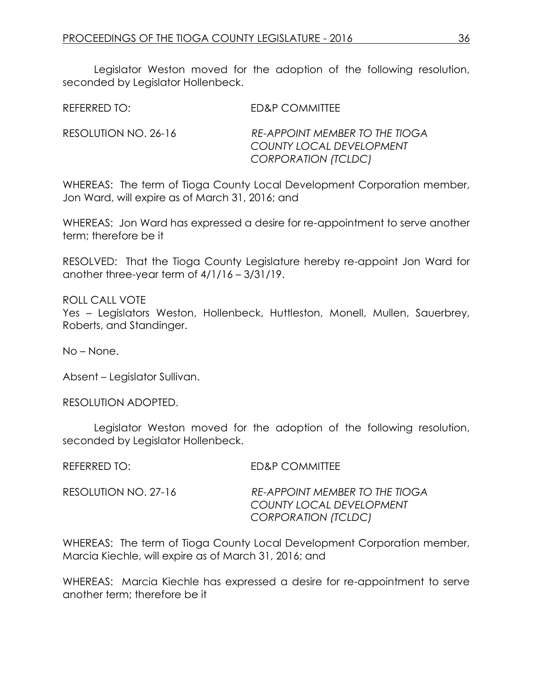Legislator Weston moved for the adoption of the following resolution, seconded by Legislator Hollenbeck.

REFERRED TO: ED&P COMMITTEE

RESOLUTION NO. 26-16 *RE-APPOINT MEMBER TO THE TIOGA COUNTY LOCAL DEVELOPMENT CORPORATION (TCLDC)*

WHEREAS: The term of Tioga County Local Development Corporation member, Jon Ward, will expire as of March 31, 2016; and

WHEREAS: Jon Ward has expressed a desire for re-appointment to serve another term; therefore be it

RESOLVED: That the Tioga County Legislature hereby re-appoint Jon Ward for another three-year term of 4/1/16 – 3/31/19.

ROLL CALL VOTE Yes – Legislators Weston, Hollenbeck, Huttleston, Monell, Mullen, Sauerbrey, Roberts, and Standinger.

No – None.

Absent – Legislator Sullivan.

RESOLUTION ADOPTED.

Legislator Weston moved for the adoption of the following resolution, seconded by Legislator Hollenbeck.

REFERRED TO: ED&P COMMITTEE

RESOLUTION NO. 27-16 *RE-APPOINT MEMBER TO THE TIOGA COUNTY LOCAL DEVELOPMENT CORPORATION (TCLDC)*

WHEREAS: The term of Tioga County Local Development Corporation member, Marcia Kiechle, will expire as of March 31, 2016; and

WHEREAS: Marcia Kiechle has expressed a desire for re-appointment to serve another term; therefore be it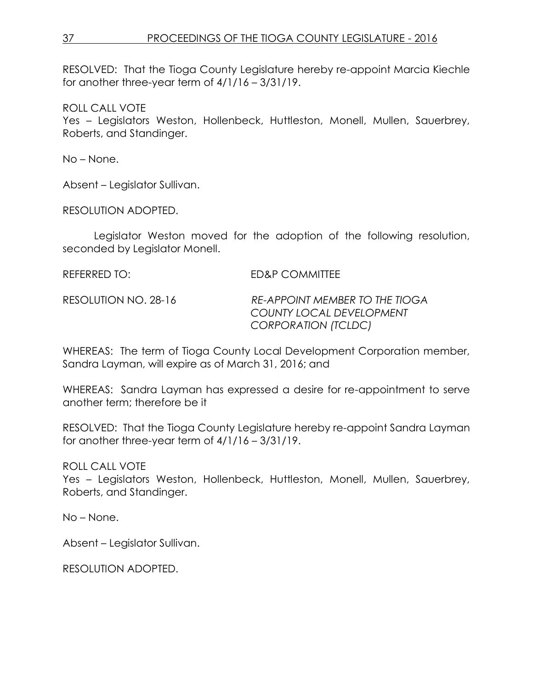RESOLVED: That the Tioga County Legislature hereby re-appoint Marcia Kiechle for another three-year term of 4/1/16 – 3/31/19.

ROLL CALL VOTE

Yes – Legislators Weston, Hollenbeck, Huttleston, Monell, Mullen, Sauerbrey, Roberts, and Standinger.

No – None.

Absent – Legislator Sullivan.

RESOLUTION ADOPTED.

Legislator Weston moved for the adoption of the following resolution, seconded by Legislator Monell.

| REFERRED TO:         | ED&P COMMITTEE                                                                           |
|----------------------|------------------------------------------------------------------------------------------|
| RESOLUTION NO. 28-16 | RE-APPOINT MEMBER TO THE TIOGA<br><b>COUNTY LOCAL DEVELOPMENT</b><br>CORPORATION (TCLDC) |

WHEREAS: The term of Tioga County Local Development Corporation member, Sandra Layman, will expire as of March 31, 2016; and

WHEREAS: Sandra Layman has expressed a desire for re-appointment to serve another term; therefore be it

RESOLVED: That the Tioga County Legislature hereby re-appoint Sandra Layman for another three-year term of 4/1/16 – 3/31/19.

ROLL CALL VOTE

Yes – Legislators Weston, Hollenbeck, Huttleston, Monell, Mullen, Sauerbrey, Roberts, and Standinger.

No – None.

Absent – Legislator Sullivan.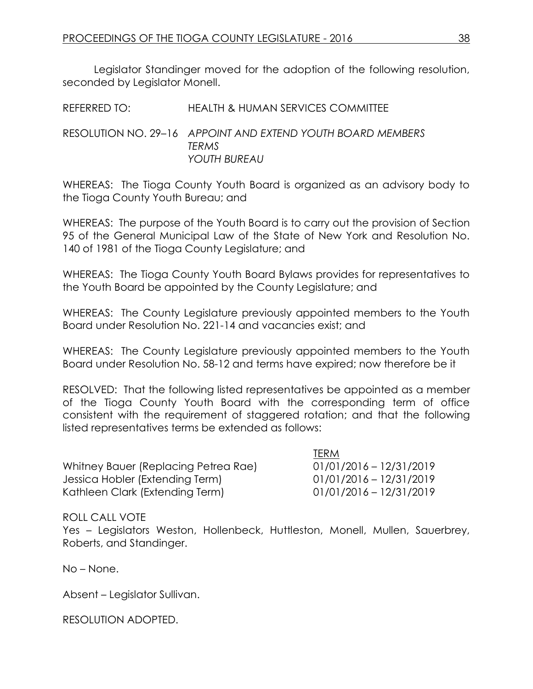Legislator Standinger moved for the adoption of the following resolution, seconded by Legislator Monell.

| REFERRED TO: | HEALTH & HUMAN SERVICES COMMITTEE                                                    |
|--------------|--------------------------------------------------------------------------------------|
|              | RESOLUTION NO. 29–16 APPOINT AND EXTEND YOUTH BOARD MEMBERS<br>TFRMS<br>YOUTH BUREAU |

WHEREAS: The Tioga County Youth Board is organized as an advisory body to the Tioga County Youth Bureau; and

WHEREAS: The purpose of the Youth Board is to carry out the provision of Section 95 of the General Municipal Law of the State of New York and Resolution No. 140 of 1981 of the Tioga County Legislature; and

WHEREAS: The Tioga County Youth Board Bylaws provides for representatives to the Youth Board be appointed by the County Legislature; and

WHEREAS: The County Legislature previously appointed members to the Youth Board under Resolution No. 221-14 and vacancies exist; and

WHEREAS: The County Legislature previously appointed members to the Youth Board under Resolution No. 58-12 and terms have expired; now therefore be it

RESOLVED: That the following listed representatives be appointed as a member of the Tioga County Youth Board with the corresponding term of office consistent with the requirement of staggered rotation; and that the following listed representatives terms be extended as follows:

TERM

|                                      | <b>ICKIVI</b>             |
|--------------------------------------|---------------------------|
| Whitney Bauer (Replacing Petrea Rae) | $01/01/2016 - 12/31/2019$ |
| Jessica Hobler (Extending Term)      | $01/01/2016 - 12/31/2019$ |
| Kathleen Clark (Extending Term)      | $01/01/2016 - 12/31/2019$ |

ROLL CALL VOTE

Yes – Legislators Weston, Hollenbeck, Huttleston, Monell, Mullen, Sauerbrey, Roberts, and Standinger.

No – None.

Absent – Legislator Sullivan.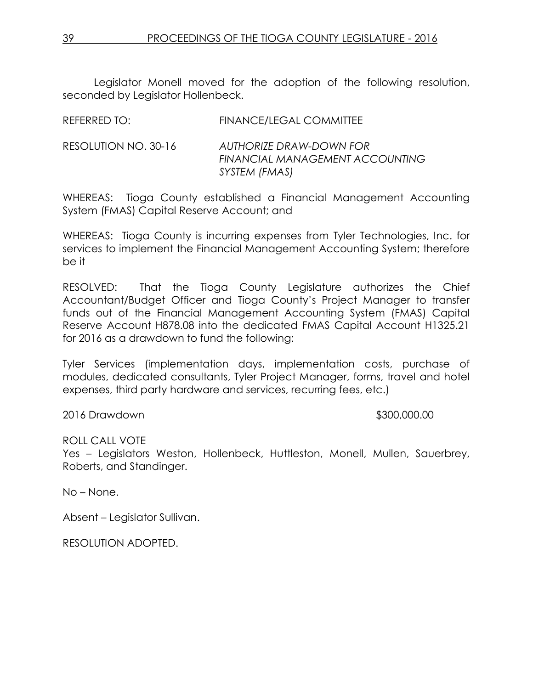Legislator Monell moved for the adoption of the following resolution, seconded by Legislator Hollenbeck.

|                      | <del>▏▎▎▚▘░▎▝░▁▁▎▂▁░</del> ▘░∟░░▁░▘▞▞▓▞▓▎▎▏▁▁                               |
|----------------------|-----------------------------------------------------------------------------|
| RESOLUTION NO. 30-16 | AUTHORIZE DRAW-DOWN FOR<br>FINANCIAL MANAGEMENT ACCOUNTING<br>SYSTEM (FMAS) |
|                      |                                                                             |

REFERRED TO: FINANCE/LEGAL COMMITTEE

WHEREAS: Tioga County established a Financial Management Accounting System (FMAS) Capital Reserve Account; and

WHEREAS: Tioga County is incurring expenses from Tyler Technologies, Inc. for services to implement the Financial Management Accounting System; therefore be it

RESOLVED: That the Tioga County Legislature authorizes the Chief Accountant/Budget Officer and Tioga County's Project Manager to transfer funds out of the Financial Management Accounting System (FMAS) Capital Reserve Account H878.08 into the dedicated FMAS Capital Account H1325.21 for 2016 as a drawdown to fund the following:

Tyler Services (implementation days, implementation costs, purchase of modules, dedicated consultants, Tyler Project Manager, forms, travel and hotel expenses, third party hardware and services, recurring fees, etc.)

2016 Drawdown \$300,000.00

ROLL CALL VOTE

Yes – Legislators Weston, Hollenbeck, Huttleston, Monell, Mullen, Sauerbrey, Roberts, and Standinger.

No – None.

Absent – Legislator Sullivan.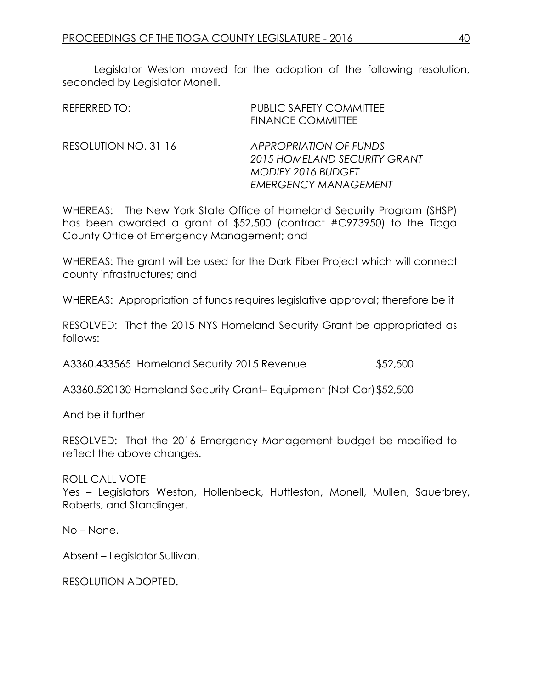Legislator Weston moved for the adoption of the following resolution, seconded by Legislator Monell.

| <b>REFERRED TO:</b>  | <b>PUBLIC SAFETY COMMITTEE</b><br><b>FINANCE COMMITTEE</b>                                                                |
|----------------------|---------------------------------------------------------------------------------------------------------------------------|
| RESOLUTION NO. 31-16 | <b>APPROPRIATION OF FUNDS</b><br>2015 HOMELAND SECURITY GRANT<br><b>MODIFY 2016 BUDGET</b><br><b>EMERGENCY MANAGEMENT</b> |

WHEREAS: The New York State Office of Homeland Security Program (SHSP) has been awarded a grant of \$52,500 (contract #C973950) to the Tioga County Office of Emergency Management; and

WHEREAS: The grant will be used for the Dark Fiber Project which will connect county infrastructures; and

WHEREAS: Appropriation of funds requires legislative approval; therefore be it

RESOLVED: That the 2015 NYS Homeland Security Grant be appropriated as follows:

A3360.433565 Homeland Security 2015 Revenue \$52,500

A3360.520130 Homeland Security Grant– Equipment (Not Car)\$52,500

And be it further

RESOLVED: That the 2016 Emergency Management budget be modified to reflect the above changes.

ROLL CALL VOTE Yes – Legislators Weston, Hollenbeck, Huttleston, Monell, Mullen, Sauerbrey, Roberts, and Standinger.

No – None.

Absent – Legislator Sullivan.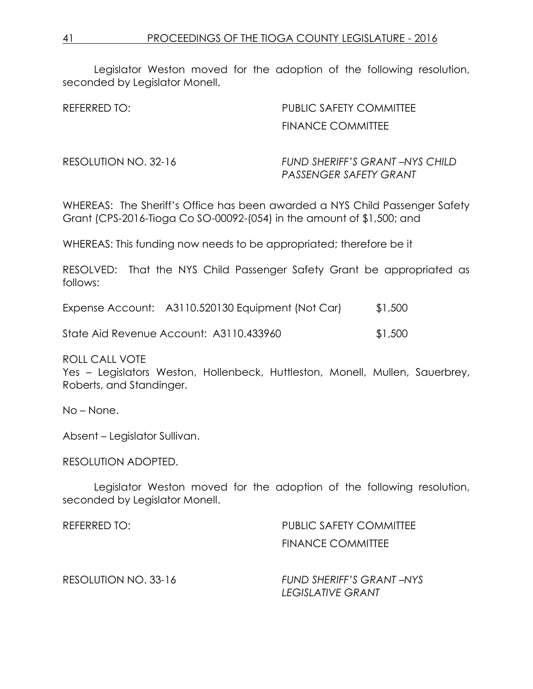Legislator Weston moved for the adoption of the following resolution, seconded by Legislator Monell.

REFERRED TO: PUBLIC SAFETY COMMITTEE FINANCE COMMITTEE

RESOLUTION NO. 32-16 *FUND SHERIFF'S GRANT –NYS CHILD PASSENGER SAFETY GRANT* 

WHEREAS: The Sheriff's Office has been awarded a NYS Child Passenger Safety Grant (CPS-2016-Tioga Co SO-00092-(054) in the amount of \$1,500; and

WHEREAS: This funding now needs to be appropriated; therefore be it

RESOLVED: That the NYS Child Passenger Safety Grant be appropriated as follows:

|  | Expense Account: A3110.520130 Equipment (Not Car) | \$1,500 |
|--|---------------------------------------------------|---------|
|--|---------------------------------------------------|---------|

State Aid Revenue Account: A3110.433960 \$1,500

ROLL CALL VOTE

Yes – Legislators Weston, Hollenbeck, Huttleston, Monell, Mullen, Sauerbrey, Roberts, and Standinger.

No – None.

Absent – Legislator Sullivan.

RESOLUTION ADOPTED.

Legislator Weston moved for the adoption of the following resolution, seconded by Legislator Monell.

| REFERRED TO:         | <b>PUBLIC SAFETY COMMITTEE</b>                       |  |
|----------------------|------------------------------------------------------|--|
|                      | FINANCE COMMITTEE                                    |  |
| RESOLUTION NO. 33-16 | FUND SHERIFF'S GRANT-NYS<br><b>LEGISLATIVE GRANT</b> |  |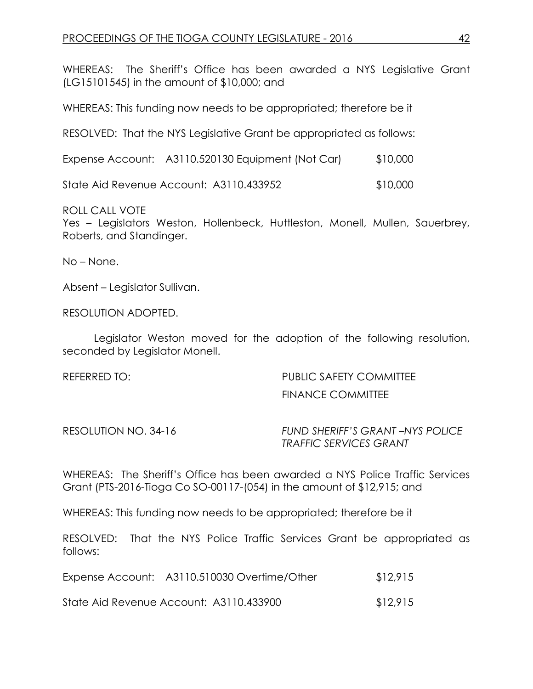WHEREAS: The Sheriff's Office has been awarded a NYS Legislative Grant (LG15101545) in the amount of \$10,000; and

WHEREAS: This funding now needs to be appropriated; therefore be it

RESOLVED: That the NYS Legislative Grant be appropriated as follows:

|  | Expense Account: A3110.520130 Equipment (Not Car) | \$10,000 |
|--|---------------------------------------------------|----------|
|--|---------------------------------------------------|----------|

State Aid Revenue Account: A3110.433952 \$10,000

ROLL CALL VOTE

Yes – Legislators Weston, Hollenbeck, Huttleston, Monell, Mullen, Sauerbrey, Roberts, and Standinger.

No – None.

Absent – Legislator Sullivan.

RESOLUTION ADOPTED.

Legislator Weston moved for the adoption of the following resolution, seconded by Legislator Monell.

REFERRED TO: THE PUBLIC SAFETY COMMITTEE FINANCE COMMITTEE

RESOLUTION NO. 34-16 *FUND SHERIFF'S GRANT –NYS POLICE TRAFFIC SERVICES GRANT* 

WHEREAS: The Sheriff's Office has been awarded a NYS Police Traffic Services Grant (PTS-2016-Tioga Co SO-00117-(054) in the amount of \$12,915; and

WHEREAS: This funding now needs to be appropriated; therefore be it

RESOLVED: That the NYS Police Traffic Services Grant be appropriated as follows:

| Expense Account: A3110.510030 Overtime/Other | \$12,915 |
|----------------------------------------------|----------|
|                                              |          |

State Aid Revenue Account: A3110.433900 \$12,915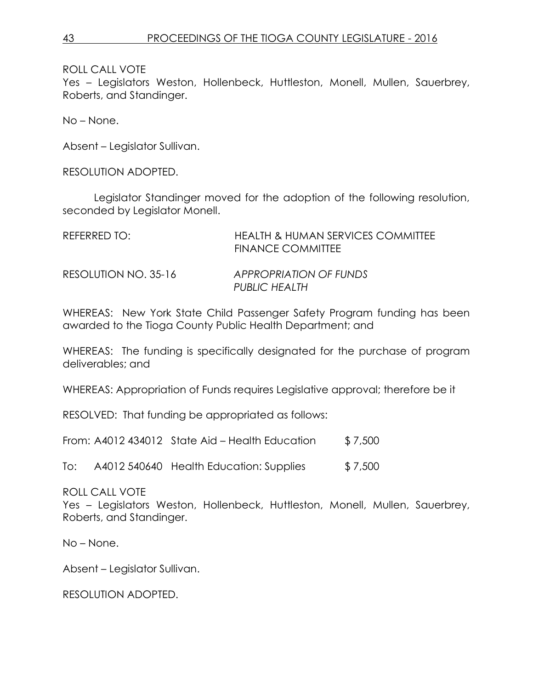Yes – Legislators Weston, Hollenbeck, Huttleston, Monell, Mullen, Sauerbrey, Roberts, and Standinger.

No – None.

Absent – Legislator Sullivan.

RESOLUTION ADOPTED.

Legislator Standinger moved for the adoption of the following resolution, seconded by Legislator Monell.

| REFERRED TO:         | HEALTH & HUMAN SERVICES COMMITTEE<br><b>FINANCE COMMITTEE</b> |
|----------------------|---------------------------------------------------------------|
| RESOLUTION NO. 35-16 | APPROPRIATION OF FUNDS<br><b>PUBLIC HEALTH</b>                |

WHEREAS: New York State Child Passenger Safety Program funding has been awarded to the Tioga County Public Health Department; and

WHEREAS: The funding is specifically designated for the purchase of program deliverables; and

WHEREAS: Appropriation of Funds requires Legislative approval; therefore be it

RESOLVED: That funding be appropriated as follows:

From:  $A4012$  434012 State Aid – Health Education  $$7,500$ 

To: A4012 540640 Health Education: Supplies \$7,500

ROLL CALL VOTE

Yes – Legislators Weston, Hollenbeck, Huttleston, Monell, Mullen, Sauerbrey, Roberts, and Standinger.

No – None.

Absent – Legislator Sullivan.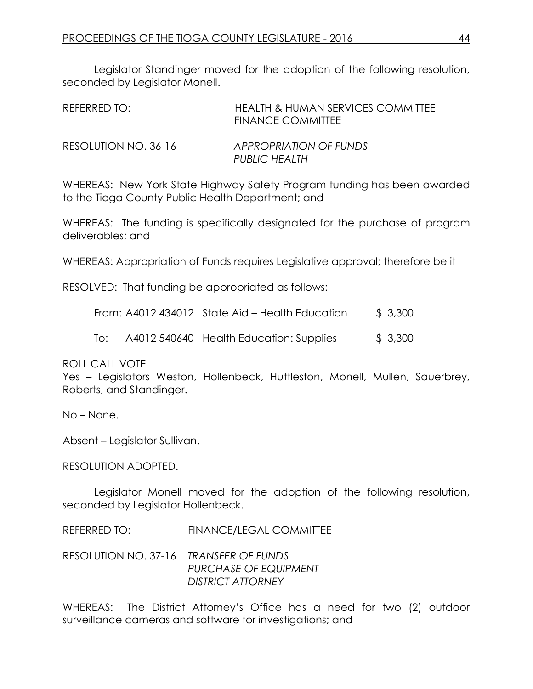Legislator Standinger moved for the adoption of the following resolution, seconded by Legislator Monell.

| REFERRED TO:         | HEALTH & HUMAN SERVICES COMMITTEE<br>FINANCE COMMITTEE |
|----------------------|--------------------------------------------------------|
| RESOLUTION NO. 36-16 | APPROPRIATION OF FUNDS<br>PUBLIC HEALTH                |

WHEREAS: New York State Highway Safety Program funding has been awarded to the Tioga County Public Health Department; and

WHEREAS: The funding is specifically designated for the purchase of program deliverables; and

WHEREAS: Appropriation of Funds requires Legislative approval; therefore be it

RESOLVED: That funding be appropriated as follows:

|     | From: A4012 434012 State Aid – Health Education | \$3,300 |
|-----|-------------------------------------------------|---------|
| To: | A4012 540640 Health Education: Supplies         | \$3,300 |

ROLL CALL VOTE

Yes – Legislators Weston, Hollenbeck, Huttleston, Monell, Mullen, Sauerbrey, Roberts, and Standinger.

No – None.

Absent – Legislator Sullivan.

RESOLUTION ADOPTED.

Legislator Monell moved for the adoption of the following resolution, seconded by Legislator Hollenbeck.

REFERRED TO: FINANCE/LEGAL COMMITTEE

RESOLUTION NO. 37-16 *TRANSFER OF FUNDS PURCHASE OF EQUIPMENT DISTRICT ATTORNEY*

WHEREAS: The District Attorney's Office has a need for two (2) outdoor surveillance cameras and software for investigations; and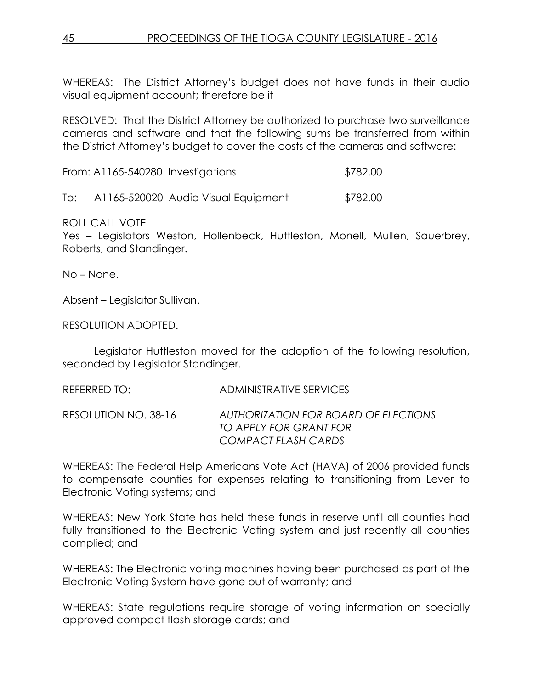WHEREAS: The District Attorney's budget does not have funds in their audio visual equipment account; therefore be it

RESOLVED: That the District Attorney be authorized to purchase two surveillance cameras and software and that the following sums be transferred from within the District Attorney's budget to cover the costs of the cameras and software:

From: A1165-540280 Investigations \$782.00

To: A1165-520020 Audio Visual Equipment \$782.00

ROLL CALL VOTE

Yes – Legislators Weston, Hollenbeck, Huttleston, Monell, Mullen, Sauerbrey, Roberts, and Standinger.

No – None.

Absent – Legislator Sullivan.

RESOLUTION ADOPTED.

Legislator Huttleston moved for the adoption of the following resolution, seconded by Legislator Standinger.

REFERRED TO: ADMINISTRATIVE SERVICES

RESOLUTION NO. 38-16 *AUTHORIZATION FOR BOARD OF ELECTIONS TO APPLY FOR GRANT FOR COMPACT FLASH CARDS* 

WHEREAS: The Federal Help Americans Vote Act (HAVA) of 2006 provided funds to compensate counties for expenses relating to transitioning from Lever to Electronic Voting systems; and

WHEREAS: New York State has held these funds in reserve until all counties had fully transitioned to the Electronic Voting system and just recently all counties complied; and

WHEREAS: The Electronic voting machines having been purchased as part of the Electronic Voting System have gone out of warranty; and

WHEREAS: State regulations require storage of voting information on specially approved compact flash storage cards; and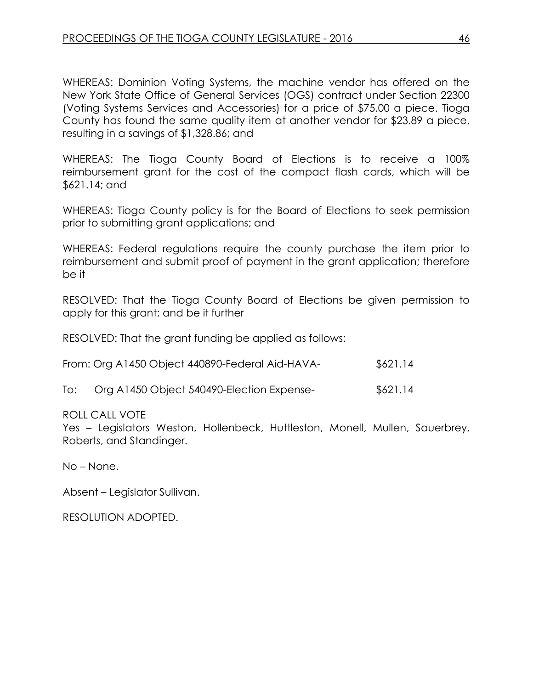WHEREAS: Dominion Voting Systems, the machine vendor has offered on the New York State Office of General Services (OGS) contract under Section 22300 (Voting Systems Services and Accessories) for a price of \$75.00 a piece. Tioga County has found the same quality item at another vendor for \$23.89 a piece, resulting in a savings of \$1,328.86; and

WHEREAS: The Tioga County Board of Elections is to receive a 100% reimbursement grant for the cost of the compact flash cards, which will be \$621.14; and

WHEREAS: Tioga County policy is for the Board of Elections to seek permission prior to submitting grant applications; and

WHEREAS: Federal regulations require the county purchase the item prior to reimbursement and submit proof of payment in the grant application; therefore be it

RESOLVED: That the Tioga County Board of Elections be given permission to apply for this grant; and be it further

RESOLVED: That the grant funding be applied as follows:

| From: Org A1450 Object 440890-Federal Aid-HAVA- | \$621.14 |
|-------------------------------------------------|----------|
|-------------------------------------------------|----------|

| To: | Org A1450 Object 540490-Election Expense- |  | \$621.14 |
|-----|-------------------------------------------|--|----------|
|-----|-------------------------------------------|--|----------|

### ROLL CALL VOTE

Yes – Legislators Weston, Hollenbeck, Huttleston, Monell, Mullen, Sauerbrey, Roberts, and Standinger.

No – None.

Absent – Legislator Sullivan.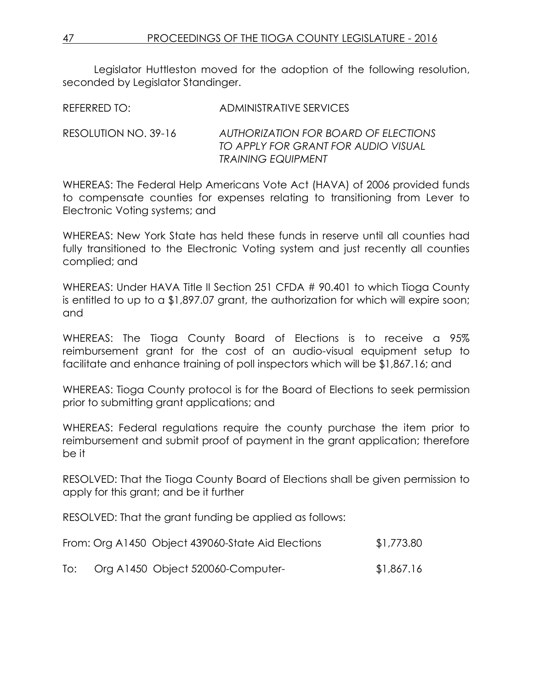Legislator Huttleston moved for the adoption of the following resolution, seconded by Legislator Standinger.

REFERRED TO: ADMINISTRATIVE SERVICES

RESOLUTION NO. 39-16 *AUTHORIZATION FOR BOARD OF ELECTIONS TO APPLY FOR GRANT FOR AUDIO VISUAL TRAINING EQUIPMENT* 

WHEREAS: The Federal Help Americans Vote Act (HAVA) of 2006 provided funds to compensate counties for expenses relating to transitioning from Lever to Electronic Voting systems; and

WHEREAS: New York State has held these funds in reserve until all counties had fully transitioned to the Electronic Voting system and just recently all counties complied; and

WHEREAS: Under HAVA Title II Section 251 CFDA # 90.401 to which Tioga County is entitled to up to a \$1,897.07 grant, the authorization for which will expire soon; and

WHEREAS: The Tioga County Board of Elections is to receive a 95% reimbursement grant for the cost of an audio-visual equipment setup to facilitate and enhance training of poll inspectors which will be \$1,867.16; and

WHEREAS: Tioga County protocol is for the Board of Elections to seek permission prior to submitting grant applications; and

WHEREAS: Federal regulations require the county purchase the item prior to reimbursement and submit proof of payment in the grant application; therefore be it

RESOLVED: That the Tioga County Board of Elections shall be given permission to apply for this grant; and be it further

RESOLVED: That the grant funding be applied as follows:

| From: Org A1450 Object 439060-State Aid Elections | \$1,773.80 |
|---------------------------------------------------|------------|
|                                                   |            |

To: Org A1450 Object 520060-Computer- \$1,867.16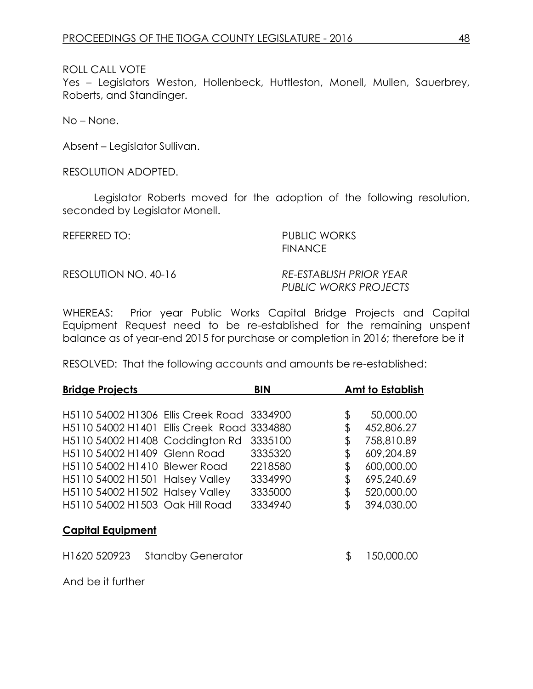Yes – Legislators Weston, Hollenbeck, Huttleston, Monell, Mullen, Sauerbrey, Roberts, and Standinger.

No – None.

Absent – Legislator Sullivan.

RESOLUTION ADOPTED.

Legislator Roberts moved for the adoption of the following resolution, seconded by Legislator Monell.

REFERRED TO: PUBLIC WORKS **FINANCE** 

RESOLUTION NO. 40-16 *RE-ESTABLISH PRIOR YEAR*

*PUBLIC WORKS PROJECTS*

WHEREAS: Prior year Public Works Capital Bridge Projects and Capital Equipment Request need to be re-established for the remaining unspent balance as of year-end 2015 for purchase or completion in 2016; therefore be it

RESOLVED: That the following accounts and amounts be re-established:

| <b>Bridge Projects</b>   |                                                        | <b>BIN</b> | <b>Amt to Establish</b> |
|--------------------------|--------------------------------------------------------|------------|-------------------------|
|                          |                                                        |            |                         |
|                          | H5110 54002 H1306 Ellis Creek Road                     | 3334900    | \$<br>50,000.00         |
|                          | H5110 54002 H1401 Ellis Creek Road                     | 3334880    | \$<br>452,806.27        |
|                          | H5110 54002 H1408 Coddington Rd                        | 3335100    | \$<br>758,810.89        |
|                          | H5110 54002 H1409 Glenn Road                           | 3335320    | \$<br>609,204.89        |
|                          | H <sub>5</sub> 110 54002 H <sub>1410</sub> Blewer Road | 2218580    | \$<br>600,000.00        |
|                          | H5110 54002 H1501 Halsey Valley                        | 3334990    | \$<br>695,240.69        |
|                          | H5110 54002 H1502 Halsey Valley                        | 3335000    | \$<br>520,000.00        |
|                          | H5110 54002 H1503 Oak Hill Road                        | 3334940    | \$<br>394,030.00        |
| <b>Capital Equipment</b> |                                                        |            |                         |
| H1620 520923             | <b>Standby Generator</b>                               |            | \$<br>150,000.00        |
| And be it further        |                                                        |            |                         |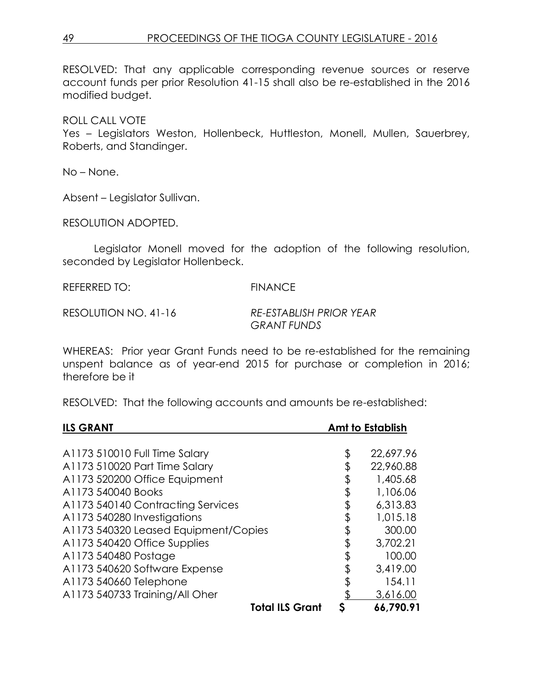RESOLVED: That any applicable corresponding revenue sources or reserve account funds per prior Resolution 41-15 shall also be re-established in the 2016 modified budget.

## ROLL CALL VOTE

Yes – Legislators Weston, Hollenbeck, Huttleston, Monell, Mullen, Sauerbrey, Roberts, and Standinger.

No – None.

Absent – Legislator Sullivan.

RESOLUTION ADOPTED.

Legislator Monell moved for the adoption of the following resolution, seconded by Legislator Hollenbeck.

REFERRED TO: FINANCE

RESOLUTION NO. 41-16 *RE-ESTABLISH PRIOR YEAR GRANT FUNDS* 

WHEREAS: Prior year Grant Funds need to be re-established for the remaining unspent balance as of year-end 2015 for purchase or completion in 2016; therefore be it

RESOLVED: That the following accounts and amounts be re-established:

| <b>ILS GRANT</b>                     |    | <b>Amt to Establish</b> |
|--------------------------------------|----|-------------------------|
|                                      |    |                         |
| A1173 510010 Full Time Salary        | \$ | 22,697.96               |
| A1173 510020 Part Time Salary        |    | 22,960.88               |
| A1173 520200 Office Equipment        | \$ | 1,405.68                |
| A1173 540040 Books                   | \$ | 1,106.06                |
| A1173 540140 Contracting Services    |    | 6,313.83                |
| A1173 540280 Investigations          | \$ | 1,015.18                |
| A1173 540320 Leased Equipment/Copies | \$ | 300.00                  |
| A1173 540420 Office Supplies         | \$ | 3,702.21                |
| A1173 540480 Postage                 | \$ | 100.00                  |
| A1173 540620 Software Expense        |    | 3,419.00                |
| A1173 540660 Telephone               | \$ | 154.11                  |
| A1173 540733 Training/All Oher       |    | 3,616.00                |
| <b>Total ILS Grant</b>               | S  | 66,790.91               |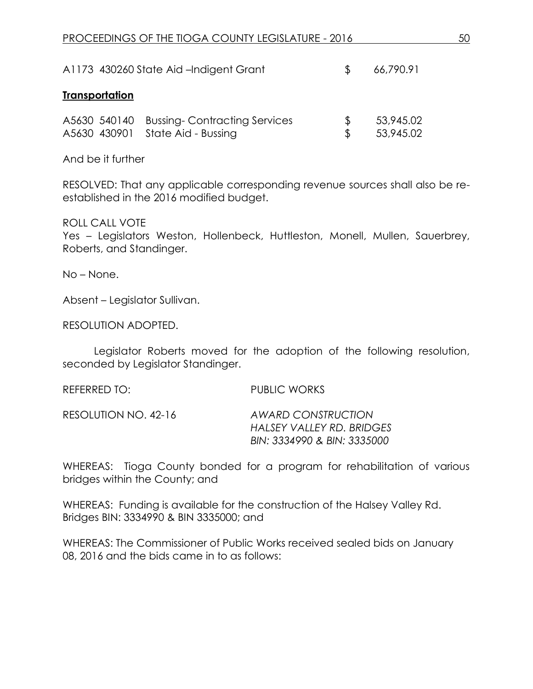|                       | A1173 430260 State Aid -Indigent Grant                                        |                      | 66,790.91              |
|-----------------------|-------------------------------------------------------------------------------|----------------------|------------------------|
| <b>Transportation</b> |                                                                               |                      |                        |
|                       | A5630 540140 Bussing-Contracting Services<br>A5630 430901 State Aid - Bussing | £.<br>$\mathbb{S}^-$ | 53,945.02<br>53,945.02 |

And be it further

RESOLVED: That any applicable corresponding revenue sources shall also be reestablished in the 2016 modified budget.

ROLL CALL VOTE

Yes – Legislators Weston, Hollenbeck, Huttleston, Monell, Mullen, Sauerbrey, Roberts, and Standinger.

No – None.

Absent – Legislator Sullivan.

RESOLUTION ADOPTED.

Legislator Roberts moved for the adoption of the following resolution, seconded by Legislator Standinger.

| REFERRED TO:         | PUBLIC WORKS                                                                   |
|----------------------|--------------------------------------------------------------------------------|
| RESOLUTION NO. 42-16 | AWARD CONSTRUCTION<br>HALSEY VALLEY RD. BRIDGES<br>BIN: 3334990 & BIN: 3335000 |

WHEREAS: Tioga County bonded for a program for rehabilitation of various bridges within the County; and

WHEREAS: Funding is available for the construction of the Halsey Valley Rd. Bridges BIN: 3334990 & BIN 3335000; and

WHEREAS: The Commissioner of Public Works received sealed bids on January 08, 2016 and the bids came in to as follows: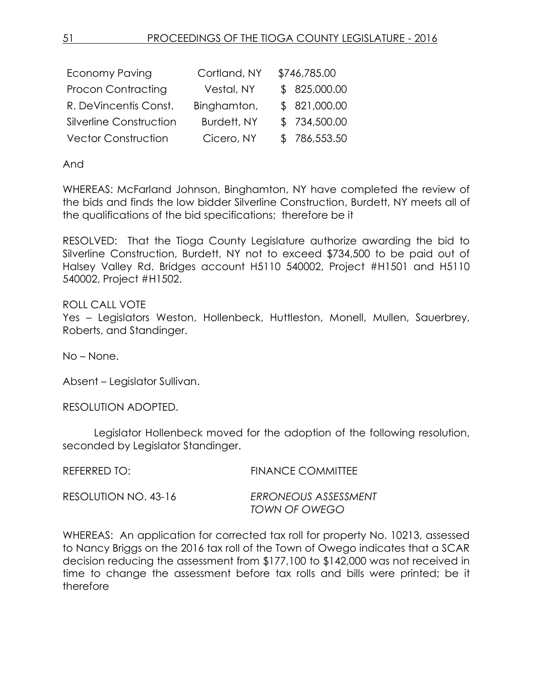| <b>Economy Paving</b>      | Cortland, NY       | \$746,785.00  |
|----------------------------|--------------------|---------------|
| <b>Procon Contracting</b>  | Vestal, NY         | \$825,000.00  |
| R. DeVincentis Const.      | Binghamton,        | \$ 821,000.00 |
| Silverline Construction    | <b>Burdett, NY</b> | \$734,500.00  |
| <b>Vector Construction</b> | Cicero, NY         | \$786,553.50  |

And

WHEREAS: McFarland Johnson, Binghamton, NY have completed the review of the bids and finds the low bidder Silverline Construction, Burdett, NY meets all of the qualifications of the bid specifications; therefore be it

RESOLVED: That the Tioga County Legislature authorize awarding the bid to Silverline Construction, Burdett, NY not to exceed \$734,500 to be paid out of Halsey Valley Rd. Bridges account H5110 540002, Project #H1501 and H5110 540002, Project #H1502.

ROLL CALL VOTE Yes – Legislators Weston, Hollenbeck, Huttleston, Monell, Mullen, Sauerbrey, Roberts, and Standinger.

No – None.

Absent – Legislator Sullivan.

RESOLUTION ADOPTED.

Legislator Hollenbeck moved for the adoption of the following resolution, seconded by Legislator Standinger.

| REFERRED TO:         | <b>FINANCE COMMITTEE</b> |
|----------------------|--------------------------|
| RESOLUTION NO. 43-16 | ERRONEOUS ASSESSMENT     |
|                      | TOWN OF OWEGO            |

WHEREAS: An application for corrected tax roll for property No. 10213, assessed to Nancy Briggs on the 2016 tax roll of the Town of Owego indicates that a SCAR decision reducing the assessment from \$177,100 to \$142,000 was not received in time to change the assessment before tax rolls and bills were printed; be it therefore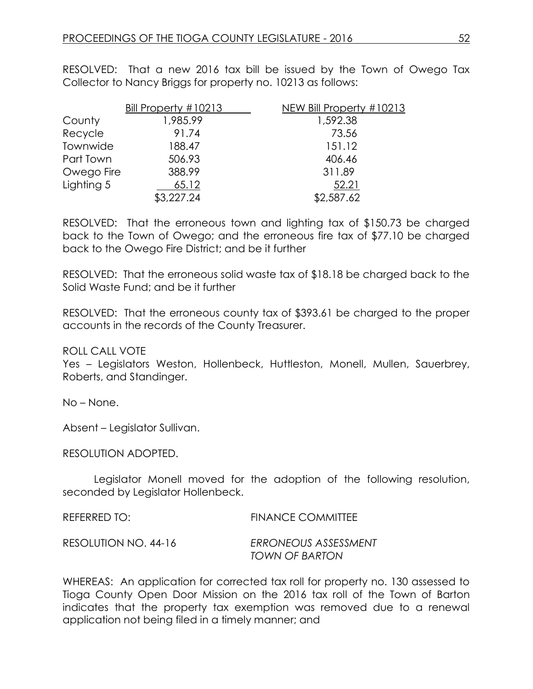RESOLVED: That a new 2016 tax bill be issued by the Town of Owego Tax Collector to Nancy Briggs for property no. 10213 as follows:

|            | Bill Property #10213 | NEW Bill Property #10213 |
|------------|----------------------|--------------------------|
| County     | 1,985.99             | 1,592.38                 |
| Recycle    | 91.74                | 73.56                    |
| Townwide   | 188.47               | 151.12                   |
| Part Town  | 506.93               | 406.46                   |
| Owego Fire | 388.99               | 311.89                   |
| Lighting 5 | 65.12                | 52.21                    |
|            | \$3,227.24           | \$2,587.62               |

RESOLVED: That the erroneous town and lighting tax of \$150.73 be charged back to the Town of Owego; and the erroneous fire tax of \$77.10 be charged back to the Owego Fire District; and be it further

RESOLVED: That the erroneous solid waste tax of \$18.18 be charged back to the Solid Waste Fund; and be it further

RESOLVED: That the erroneous county tax of \$393.61 be charged to the proper accounts in the records of the County Treasurer.

ROLL CALL VOTE

Yes – Legislators Weston, Hollenbeck, Huttleston, Monell, Mullen, Sauerbrey, Roberts, and Standinger.

No – None.

Absent – Legislator Sullivan.

RESOLUTION ADOPTED.

Legislator Monell moved for the adoption of the following resolution, seconded by Legislator Hollenbeck.

| REFERRED TO:         | <b>FINANCE COMMITTEE</b>               |
|----------------------|----------------------------------------|
| RESOLUTION NO. 44-16 | ERRONEOUS ASSESSMENT<br>TOWN OF BARTON |

WHEREAS: An application for corrected tax roll for property no. 130 assessed to Tioga County Open Door Mission on the 2016 tax roll of the Town of Barton indicates that the property tax exemption was removed due to a renewal application not being filed in a timely manner; and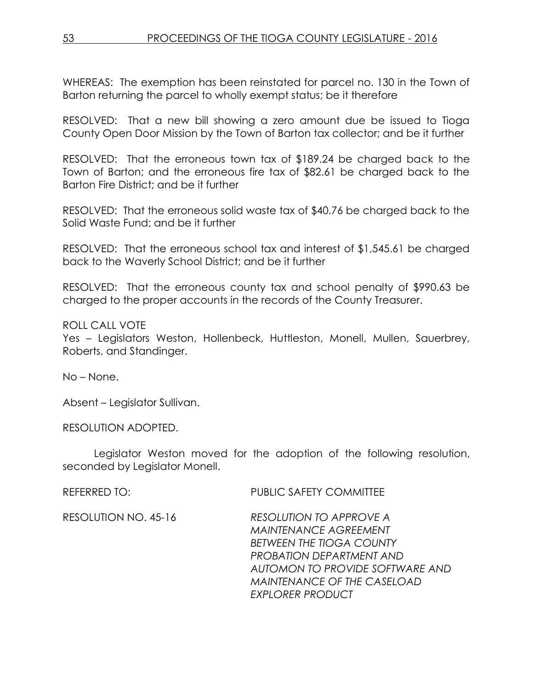WHEREAS: The exemption has been reinstated for parcel no. 130 in the Town of Barton returning the parcel to wholly exempt status; be it therefore

RESOLVED: That a new bill showing a zero amount due be issued to Tioga County Open Door Mission by the Town of Barton tax collector; and be it further

RESOLVED: That the erroneous town tax of \$189.24 be charged back to the Town of Barton; and the erroneous fire tax of \$82.61 be charged back to the Barton Fire District; and be it further

RESOLVED: That the erroneous solid waste tax of \$40.76 be charged back to the Solid Waste Fund; and be it further

RESOLVED: That the erroneous school tax and interest of \$1,545.61 be charged back to the Waverly School District; and be it further

RESOLVED: That the erroneous county tax and school penalty of \$990.63 be charged to the proper accounts in the records of the County Treasurer.

ROLL CALL VOTE

Yes – Legislators Weston, Hollenbeck, Huttleston, Monell, Mullen, Sauerbrey, Roberts, and Standinger.

No – None.

Absent – Legislator Sullivan.

RESOLUTION ADOPTED.

Legislator Weston moved for the adoption of the following resolution, seconded by Legislator Monell.

REFERRED TO: PUBLIC SAFETY COMMITTEE

RESOLUTION NO. 45-16 *RESOLUTION TO APPROVE A MAINTENANCE AGREEMENT BETWEEN THE TIOGA COUNTY PROBATION DEPARTMENT AND AUTOMON TO PROVIDE SOFTWARE AND MAINTENANCE OF THE CASELOAD EXPLORER PRODUCT*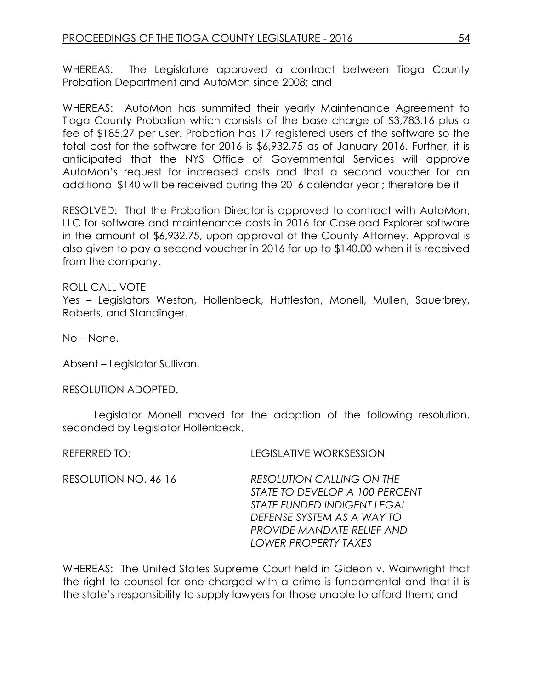WHEREAS: The Legislature approved a contract between Tioga County Probation Department and AutoMon since 2008; and

WHEREAS: AutoMon has summited their yearly Maintenance Agreement to Tioga County Probation which consists of the base charge of \$3,783.16 plus a fee of \$185.27 per user. Probation has 17 registered users of the software so the total cost for the software for 2016 is \$6,932.75 as of January 2016. Further, it is anticipated that the NYS Office of Governmental Services will approve AutoMon's request for increased costs and that a second voucher for an additional \$140 will be received during the 2016 calendar year ; therefore be it

RESOLVED: That the Probation Director is approved to contract with AutoMon, LLC for software and maintenance costs in 2016 for Caseload Explorer software in the amount of \$6,932.75, upon approval of the County Attorney. Approval is also given to pay a second voucher in 2016 for up to \$140.00 when it is received from the company.

## ROLL CALL VOTE

Yes – Legislators Weston, Hollenbeck, Huttleston, Monell, Mullen, Sauerbrey, Roberts, and Standinger.

No – None.

Absent – Legislator Sullivan.

RESOLUTION ADOPTED.

Legislator Monell moved for the adoption of the following resolution, seconded by Legislator Hollenbeck.

REFERRED TO: LEGISLATIVE WORKSESSION

RESOLUTION NO. 46-16 *RESOLUTION CALLING ON THE STATE TO DEVELOP A 100 PERCENT STATE FUNDED INDIGENT LEGAL DEFENSE SYSTEM AS A WAY TO PROVIDE MANDATE RELIEF AND LOWER PROPERTY TAXES*

WHEREAS: The United States Supreme Court held in Gideon v. Wainwright that the right to counsel for one charged with a crime is fundamental and that it is the state's responsibility to supply lawyers for those unable to afford them; and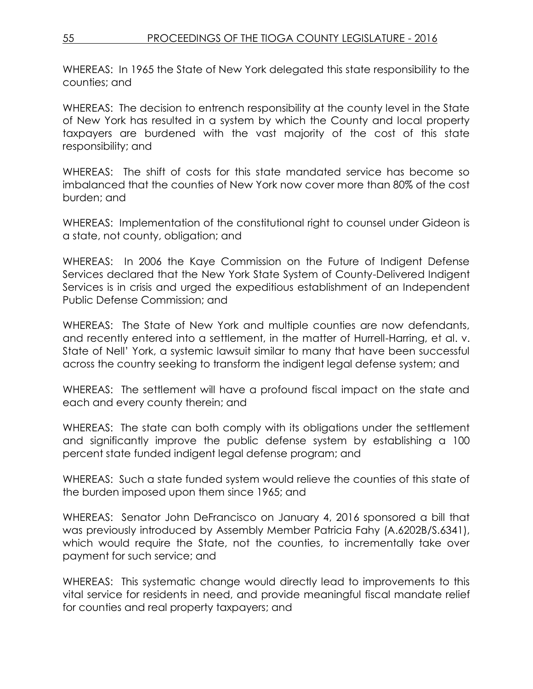WHEREAS: In 1965 the State of New York delegated this state responsibility to the counties; and

WHEREAS: The decision to entrench responsibility at the county level in the State of New York has resulted in a system by which the County and local property taxpayers are burdened with the vast majority of the cost of this state responsibility; and

WHEREAS: The shift of costs for this state mandated service has become so imbalanced that the counties of New York now cover more than 80% of the cost burden; and

WHEREAS: Implementation of the constitutional right to counsel under Gideon is a state, not county, obligation; and

WHEREAS: In 2006 the Kaye Commission on the Future of Indigent Defense Services declared that the New York State System of County-Delivered Indigent Services is in crisis and urged the expeditious establishment of an Independent Public Defense Commission; and

WHEREAS: The State of New York and multiple counties are now defendants, and recently entered into a settlement, in the matter of Hurrell-Harring, et al. v. State of Nell' York, a systemic lawsuit similar to many that have been successful across the country seeking to transform the indigent legal defense system; and

WHEREAS: The settlement will have a profound fiscal impact on the state and each and every county therein; and

WHEREAS: The state can both comply with its obligations under the settlement and significantly improve the public defense system by establishing a 100 percent state funded indigent legal defense program; and

WHEREAS: Such a state funded system would relieve the counties of this state of the burden imposed upon them since 1965; and

WHEREAS: Senator John DeFrancisco on January 4, 2016 sponsored a bill that was previously introduced by Assembly Member Patricia Fahy (A.6202B/S.6341), which would require the State, not the counties, to incrementally take over payment for such service; and

WHEREAS: This systematic change would directly lead to improvements to this vital service for residents in need, and provide meaningful fiscal mandate relief for counties and real property taxpayers; and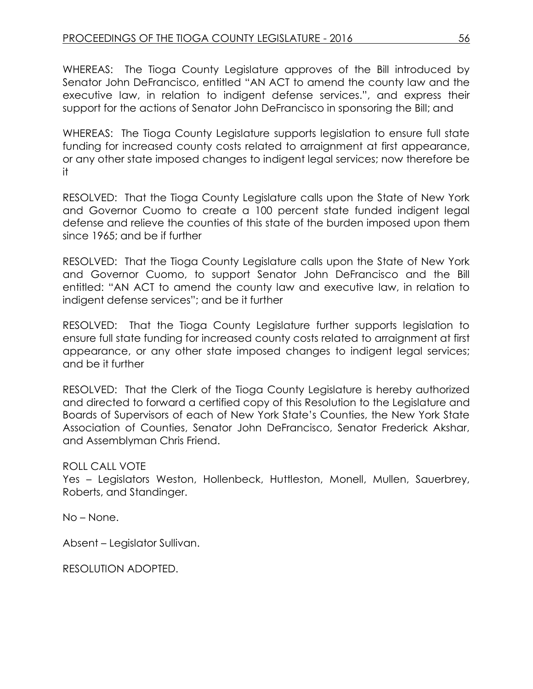WHEREAS: The Tioga County Legislature approves of the Bill introduced by Senator John DeFrancisco, entitled "AN ACT to amend the county law and the executive law, in relation to indigent defense services.", and express their support for the actions of Senator John DeFrancisco in sponsoring the Bill; and

WHEREAS: The Tioga County Legislature supports legislation to ensure full state funding for increased county costs related to arraignment at first appearance, or any other state imposed changes to indigent legal services; now therefore be it

RESOLVED: That the Tioga County Legislature calls upon the State of New York and Governor Cuomo to create a 100 percent state funded indigent legal defense and relieve the counties of this state of the burden imposed upon them since 1965; and be if further

RESOLVED: That the Tioga County Legislature calls upon the State of New York and Governor Cuomo, to support Senator John DeFrancisco and the Bill entitled: "AN ACT to amend the county law and executive law, in relation to indigent defense services"; and be it further

RESOLVED: That the Tioga County Legislature further supports legislation to ensure full state funding for increased county costs related to arraignment at first appearance, or any other state imposed changes to indigent legal services; and be it further

RESOLVED: That the Clerk of the Tioga County Legislature is hereby authorized and directed to forward a certified copy of this Resolution to the Legislature and Boards of Supervisors of each of New York State's Counties, the New York State Association of Counties, Senator John DeFrancisco, Senator Frederick Akshar, and Assemblyman Chris Friend.

## ROLL CALL VOTE

Yes – Legislators Weston, Hollenbeck, Huttleston, Monell, Mullen, Sauerbrey, Roberts, and Standinger.

No – None.

Absent – Legislator Sullivan.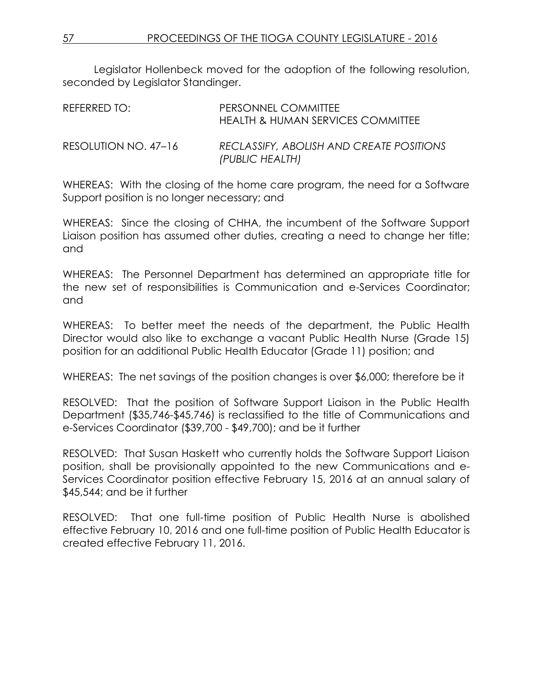Legislator Hollenbeck moved for the adoption of the following resolution, seconded by Legislator Standinger.

| REFERRED TO:         | PERSONNEL COMMITTEE<br>HEALTH & HUMAN SERVICES COMMITTEE    |
|----------------------|-------------------------------------------------------------|
| RESOLUTION NO. 47–16 | RECLASSIFY, ABOLISH AND CREATE POSITIONS<br>(PUBLIC HEALTH) |

WHEREAS: With the closing of the home care program, the need for a Software Support position is no longer necessary; and

WHEREAS: Since the closing of CHHA, the incumbent of the Software Support Liaison position has assumed other duties, creating a need to change her title; and

WHEREAS: The Personnel Department has determined an appropriate title for the new set of responsibilities is Communication and e-Services Coordinator; and

WHEREAS: To better meet the needs of the department, the Public Health Director would also like to exchange a vacant Public Health Nurse (Grade 15) position for an additional Public Health Educator (Grade 11) position; and

WHEREAS: The net savings of the position changes is over \$6,000; therefore be it

RESOLVED: That the position of Software Support Liaison in the Public Health Department (\$35,746-\$45,746) is reclassified to the title of Communications and e-Services Coordinator (\$39,700 - \$49,700); and be it further

RESOLVED: That Susan Haskett who currently holds the Software Support Liaison position, shall be provisionally appointed to the new Communications and e-Services Coordinator position effective February 15, 2016 at an annual salary of \$45,544; and be it further

RESOLVED: That one full-time position of Public Health Nurse is abolished effective February 10, 2016 and one full-time position of Public Health Educator is created effective February 11, 2016.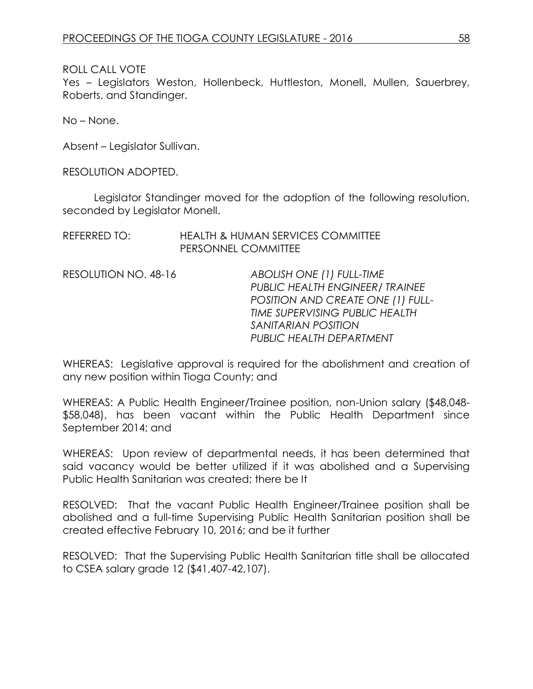Yes – Legislators Weston, Hollenbeck, Huttleston, Monell, Mullen, Sauerbrey, Roberts, and Standinger.

No – None.

Absent – Legislator Sullivan.

RESOLUTION ADOPTED.

Legislator Standinger moved for the adoption of the following resolution, seconded by Legislator Monell.

| REFERRED TO: | <b>HEALTH &amp; HUMAN SERVICES COMMITTEE</b> |
|--------------|----------------------------------------------|
|              | PERSONNEL COMMITTEE                          |

RESOLUTION NO. 48-16 *ABOLISH ONE (1) FULL-TIME PUBLIC HEALTH ENGINEER/ TRAINEE POSITION AND CREATE ONE (1) FULL-TIME SUPERVISING PUBLIC HEALTH SANITARIAN POSITION PUBLIC HEALTH DEPARTMENT* 

WHEREAS: Legislative approval is required for the abolishment and creation of any new position within Tioga County; and

WHEREAS: A Public Health Engineer/Trainee position, non-Union salary (\$48,048- \$58,048), has been vacant within the Public Health Department since September 2014; and

WHEREAS: Upon review of departmental needs, it has been determined that said vacancy would be better utilized if it was abolished and a Supervising Public Health Sanitarian was created; there be It

RESOLVED: That the vacant Public Health Engineer/Trainee position shall be abolished and a full-time Supervising Public Health Sanitarian position shall be created effective February 10, 2016; and be it further

RESOLVED: That the Supervising Public Health Sanitarian title shall be allocated to CSEA salary grade 12 (\$41,407-42,107).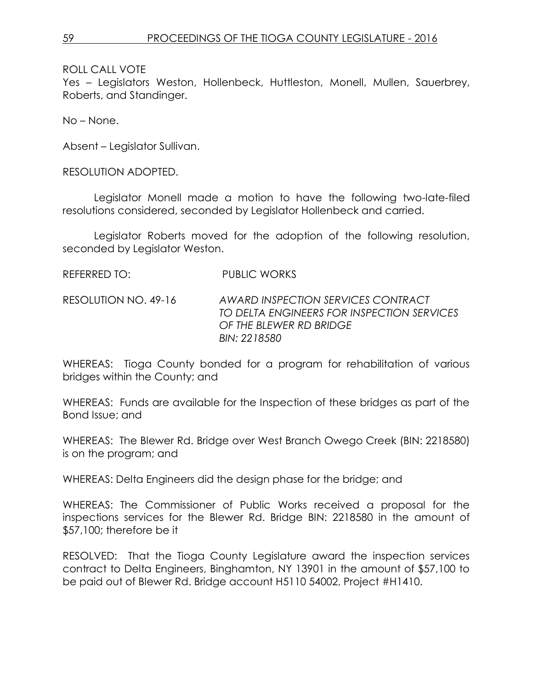Yes – Legislators Weston, Hollenbeck, Huttleston, Monell, Mullen, Sauerbrey, Roberts, and Standinger.

No – None.

Absent – Legislator Sullivan.

RESOLUTION ADOPTED.

Legislator Monell made a motion to have the following two-late-filed resolutions considered, seconded by Legislator Hollenbeck and carried.

Legislator Roberts moved for the adoption of the following resolution, seconded by Legislator Weston.

REFERRED TO: PUBLIC WORKS

RESOLUTION NO. 49-16 *AWARD INSPECTION SERVICES CONTRACT TO DELTA ENGINEERS FOR INSPECTION SERVICES OF THE BLEWER RD BRIDGE BIN: 2218580*

WHEREAS: Tioga County bonded for a program for rehabilitation of various bridges within the County; and

WHEREAS: Funds are available for the Inspection of these bridges as part of the Bond Issue; and

WHEREAS: The Blewer Rd. Bridge over West Branch Owego Creek (BIN: 2218580) is on the program; and

WHEREAS: Delta Engineers did the design phase for the bridge; and

WHEREAS: The Commissioner of Public Works received a proposal for the inspections services for the Blewer Rd. Bridge BIN: 2218580 in the amount of \$57,100; therefore be it

RESOLVED: That the Tioga County Legislature award the inspection services contract to Delta Engineers, Binghamton, NY 13901 in the amount of \$57,100 to be paid out of Blewer Rd. Bridge account H5110 54002, Project #H1410.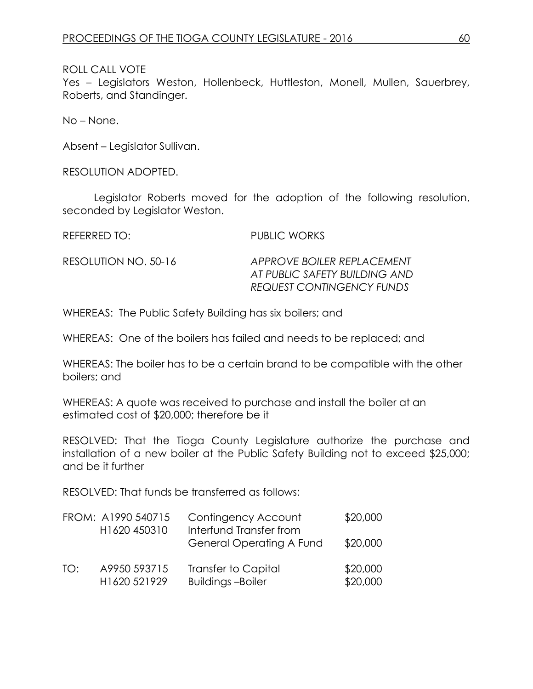Yes – Legislators Weston, Hollenbeck, Huttleston, Monell, Mullen, Sauerbrey, Roberts, and Standinger.

No – None.

Absent – Legislator Sullivan.

RESOLUTION ADOPTED.

Legislator Roberts moved for the adoption of the following resolution, seconded by Legislator Weston.

REFERRED TO: PUBLIC WORKS

RESOLUTION NO. 50-16 *APPROVE BOILER REPLACEMENT AT PUBLIC SAFETY BUILDING AND REQUEST CONTINGENCY FUNDS*

WHEREAS: The Public Safety Building has six boilers; and

WHEREAS: One of the boilers has failed and needs to be replaced; and

WHEREAS: The boiler has to be a certain brand to be compatible with the other boilers; and

WHEREAS: A quote was received to purchase and install the boiler at an estimated cost of \$20,000; therefore be it

RESOLVED: That the Tioga County Legislature authorize the purchase and installation of a new boiler at the Public Safety Building not to exceed \$25,000; and be it further

RESOLVED: That funds be transferred as follows:

|     | FROM: A1990 540715<br>H1620 450310 | Contingency Account<br>Interfund Transfer from        | \$20,000             |
|-----|------------------------------------|-------------------------------------------------------|----------------------|
|     |                                    | <b>General Operating A Fund</b>                       | \$20,000             |
| TO: | A9950 593715<br>H1620 521929       | <b>Transfer to Capital</b><br><b>Buildings-Boiler</b> | \$20,000<br>\$20,000 |